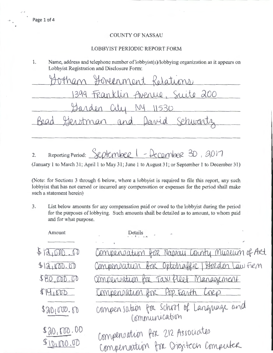## **COUNTY OF NASSAU**

## LOBBYIST PERIODIC REPORT FORM

1. Name, address and telephone number of lobbyist(s)/lobbying organization as it appears on Lobbyist Registration and Disclosure Form:

than Hovenment Relations 399 Franklin Avenue, Suite 200 VV  $(\lambda \lambda)$ 530 Sehwar Read man  $O(1)$ 

Reporting Period: September 1 - December 30, 2017  $2.$ 

(January 1 to March 31; April 1 to May 31; June 1 to August 31; or September 1 to December 31)

(Note: for Sections 3 through 6 below, where a lobbyist is required to file this report, any such lobbyist that has not earned or incurred any compensation or expenses for the period shall make such a statement herein)

 $3.$ List below amounts for any compensation paid or owed to the lobbyist during the period for the purposes of lobbying. Such amounts shall be detailed as to amount, to whom paid and for what purpose.

| Amount                   | Details                                                               |
|--------------------------|-----------------------------------------------------------------------|
|                          |                                                                       |
| 512,000.00               | Compensation for Nappay County Museum of Art                          |
| 412,000.00               | Compensatun bor Optotraffic Stordon Law Firm                          |
| \$80,000.00              | Compensation for Taxifleet Management                                 |
| 414600                   | Compensation for Pop-Easth Corp.                                      |
| \$20100.60               | compensation for school of Language and<br>Communication              |
| \$20,000.00<br>90,000,00 | Compensation for 212 Associates<br>Compensation for Digitech Computer |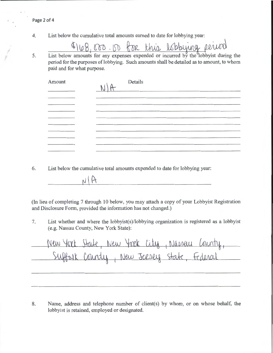4. List below the cumulative total amounts earned to date for lobbying year:

 $7100,000.$ <u>. DD</u>  $68R$ this date for lobbying year:<br>  $\Delta \quad \text{Lbbluyung \quad \text{PUMV} \quad \text{or incurred by the lobbyist during the}$ 

5. List below amounts for any expenses expended period for the purposes of lobbying. Such amounts shall be detailed as to amount, to whom paid and for what purpose.

| Amount   | Details |
|----------|---------|
|          |         |
| -------- |         |
|          |         |
|          |         |
|          |         |

6. List below the cumulative total amounts expended to date for lobbying year:

(In lieu of completing 7 through 10 below, you may attach a copy of your Lobbyist Registration and Disclosure Form, provided the information has not changed.)

7. List whether and where the lobbyist(s)/lobbying organization is registered as a lobbyist (e.g. Nassau County, New York State):

New York State, New York City, Nasser Cour ffort County, New Jersey state, Federa

8. Name, address and telephone number of client(s) by whom, or on whose behalf, the lobbyist is retained, employed or designated.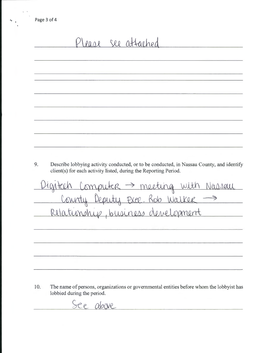| 9.<br>Describe lobbying activity conducted, or to be conducted, in Nassau County, and identify<br>client(s) for each activity listed, during the Reporting Period.<br>Digitich Computer -> meeting with Nassau<br>County Deputy Exec. Rob Walker -> |                                    |
|-----------------------------------------------------------------------------------------------------------------------------------------------------------------------------------------------------------------------------------------------------|------------------------------------|
|                                                                                                                                                                                                                                                     |                                    |
|                                                                                                                                                                                                                                                     |                                    |
|                                                                                                                                                                                                                                                     |                                    |
|                                                                                                                                                                                                                                                     |                                    |
|                                                                                                                                                                                                                                                     |                                    |
|                                                                                                                                                                                                                                                     |                                    |
|                                                                                                                                                                                                                                                     |                                    |
|                                                                                                                                                                                                                                                     | Relationship, business development |

10. The name of persons, organizations or governmental entities before whom the lobbyist has lobbied during the period.

See above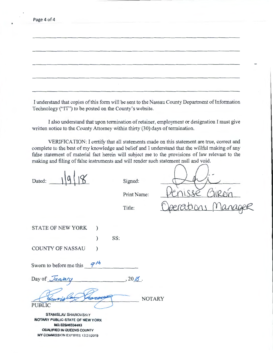| Page 4 of 4 |  |
|-------------|--|
|             |  |

I understand that copies of this form will be sent to the Nassau County Department of Information Technology ("IT") to be posted on the County's website.

I also understand that upon termination of retainer, employment or designation I must give written notice to the County Attorney within thirty (30) days of termination.

VERIFICATION: I certify that all statements made on this statement are true, correct and complete to the best of my knowledge and belief and I understand that the willful making of any false statement of material fact herein will subject me to the provisions of law relevant to the making and filing of false instruments and will render such statement null and void.

Dated:

Signed:

Print Name:

Title:

STATE OF NEW YORK )

COUNTY OF NASSAU )

Sworn to before me this  $\frac{q^{h}}{h}$ 

Day of  $\overline{Janjary}$ , 20<u>/6</u>.

PUBLIC NOTARY

) SS:

STANISLAV SHAROVSKiY NOTARY PUBLIC-STATE OF NEW YORK NO. 02SH6334483 QUALIFIED IN QUEENS COUNTY **MY COMMISSION EXPIRES 12/21/2019**